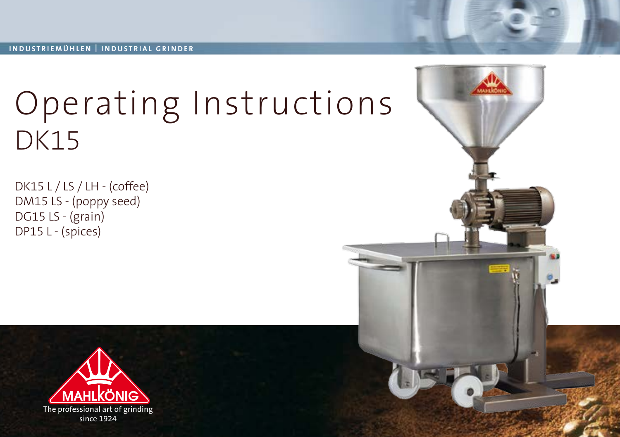# Operating Instructions DK15

DK15 L / LS / LH - (coffee) DM15 LS - (poppy seed) DG15 LS - (grain) DP15 L - (spices)

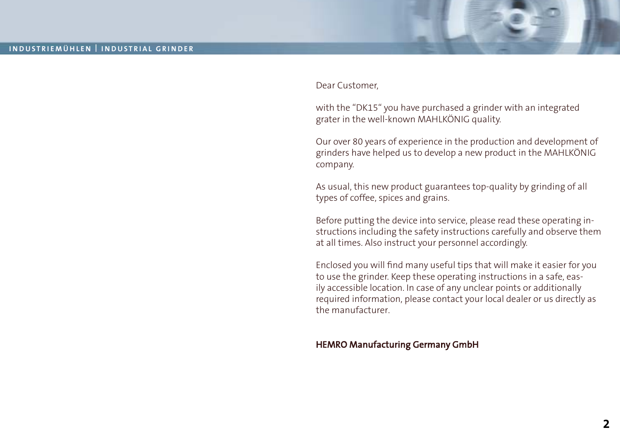

with the "DK15" you have purchased a grinder with an integrated grater in the well-known MAHLKÖNIG quality.

Our over 80 years of experience in the production and development of grinders have helped us to develop a new product in the MAHLKÖNIG company.

As usual, this new product guarantees top-quality by grinding of all types of coffee, spices and grains.

Before putting the device into service, please read these operating instructions including the safety instructions carefully and observe them at all times. Also instruct your personnel accordingly.

Enclosed you will find many useful tips that will make it easier for you to use the grinder. Keep these operating instructions in a safe, easily accessible location. In case of any unclear points or additionally required information, please contact your local dealer or us directly as the manufacturer.

#### HEMRO Manufacturing Germany GmbH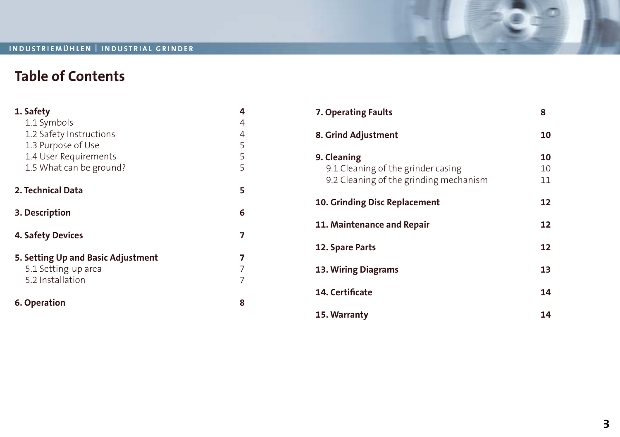### **Table of Contents**

| 1. Safety                          | 4 |
|------------------------------------|---|
| 1.1 Symbols                        | 4 |
| 1.2 Safety Instructions            | 4 |
| 1.3 Purpose of Use                 | 5 |
| 1.4 User Requirements              | 5 |
| 1.5 What can be ground?            | 5 |
| 2. Technical Data                  | 5 |
| 3. Description                     | 6 |
| <b>4. Safety Devices</b>           | 7 |
| 5. Setting Up and Basic Adjustment |   |
| 5.1 Setting-up area                |   |
| 5.2 Installation                   |   |
| 6. Operation                       | 8 |

| 7. Operating Faults                                                                         | 8              |
|---------------------------------------------------------------------------------------------|----------------|
| 8. Grind Adjustment                                                                         | 10             |
| 9. Cleaning<br>9.1 Cleaning of the grinder casing<br>9.2 Cleaning of the grinding mechanism | 10<br>10<br>11 |
| 10. Grinding Disc Replacement                                                               | 12             |
| 11. Maintenance and Repair                                                                  | 12             |
| 12. Spare Parts                                                                             | 12             |
| 13. Wiring Diagrams                                                                         | 13             |
| <b>14. Certificate</b>                                                                      | 14             |
| 15. Warranty                                                                                | 14             |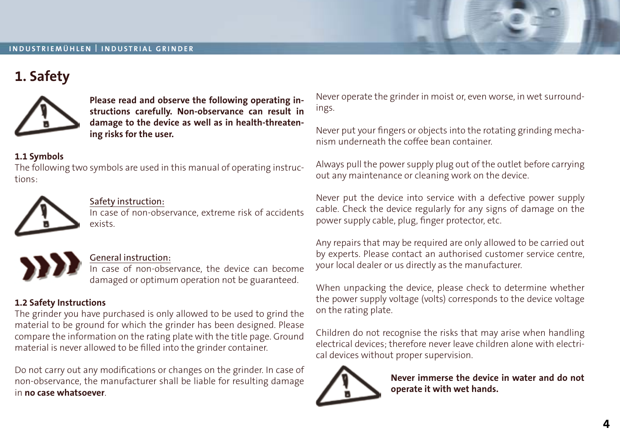### **1. Safety**



**Please read and observe the following operating instructions carefully. Non-observance can result in damage to the device as well as in health-threatening risks for the user.**

#### **1.1 Symbols**

The following two symbols are used in this manual of operating instructions:



#### Safety instruction:

In case of non-observance, extreme risk of accidents exists.



#### General instruction:

In case of non-observance, the device can become damaged or optimum operation not be guaranteed.

#### **1.2 Safety Instructions**

The grinder you have purchased is only allowed to be used to grind the material to be ground for which the grinder has been designed. Please compare the information on the rating plate with the title page. Ground material is never allowed to be filled into the grinder container.

Do not carry out any modifications or changes on the grinder. In case of non-observance, the manufacturer shall be liable for resulting damage in **no case whatsoever**.

Never operate the grinder in moist or, even worse, in wet surroundings.

Never put your fingers or objects into the rotating grinding mechanism underneath the coffee bean container.

Always pull the power supply plug out of the outlet before carrying out any maintenance or cleaning work on the device.

Never put the device into service with a defective power supply cable. Check the device regularly for any signs of damage on the power supply cable, plug, finger protector, etc.

Any repairs that may be required are only allowed to be carried out by experts. Please contact an authorised customer service centre, your local dealer or us directly as the manufacturer.

When unpacking the device, please check to determine whether the power supply voltage (volts) corresponds to the device voltage on the rating plate.

Children do not recognise the risks that may arise when handling electrical devices; therefore never leave children alone with electrical devices without proper supervision.



**Never immerse the device in water and do not operate it with wet hands.**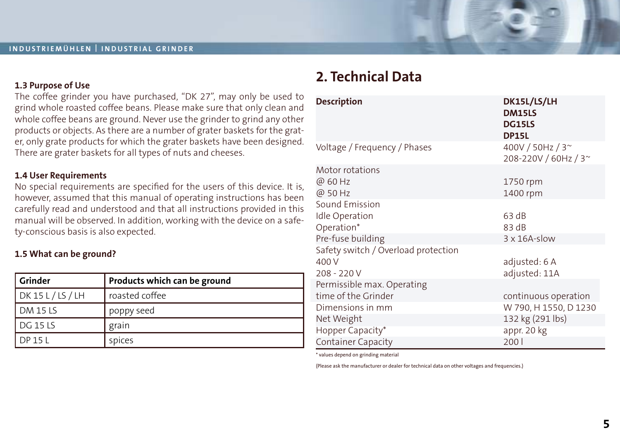#### **1.3 Purpose of Use**

The coffee grinder you have purchased, "DK 27", may only be used to grind whole roasted coffee beans. Please make sure that only clean and whole coffee beans are ground. Never use the grinder to grind any other products or objects. As there are a number of grater baskets for the grater, only grate products for which the grater baskets have been designed. There are grater baskets for all types of nuts and cheeses.

#### **1.4 User Requirements**

No special requirements are specified for the users of this device. It is, however, assumed that this manual of operating instructions has been carefully read and understood and that all instructions provided in this manual will be observed. In addition, working with the device on a safety-conscious basis is also expected.

#### **1.5 What can be ground?**

| l Grinder         | Products which can be ground |
|-------------------|------------------------------|
| NK 15 L / LS / LH | roasted coffee               |
| $DM$ 15 LS        | poppy seed                   |
| l DG 15 LS        | grain                        |
| DP 15 L           | spices                       |

### **2. Technical Data**

| <b>Description</b>                  | DK15L/LS/LH<br><b>DM15LS</b><br><b>DG15LS</b><br><b>DP15L</b> |
|-------------------------------------|---------------------------------------------------------------|
| Voltage / Frequency / Phases        | 400V / 50Hz / 3~<br>208-220V / 60Hz / 3~                      |
| Motor rotations                     |                                                               |
| @ 60 Hz                             | 1750 rpm                                                      |
| @ 50 Hz                             | 1400 rpm                                                      |
| Sound Emission                      |                                                               |
| Idle Operation                      | 63 dB                                                         |
| Operation*                          | 83 dB                                                         |
| Pre-fuse building                   | $3 \times 16$ A-slow                                          |
| Safety switch / Overload protection |                                                               |
| 400 V                               | adjusted: 6 A                                                 |
| $208 - 220V$                        | adjusted: 11A                                                 |
| Permissible max. Operating          |                                                               |
| time of the Grinder                 | continuous operation                                          |
| Dimensions in mm                    | W 790, H 1550, D 1230                                         |
| Net Weight                          | 132 kg (291 lbs)                                              |
| Hopper Capacity*                    | appr. 20 kg                                                   |
| Container Capacity                  | 2001                                                          |

\* values depend on grinding material

(Please ask the manufacturer or dealer for technical data on other voltages and frequencies.)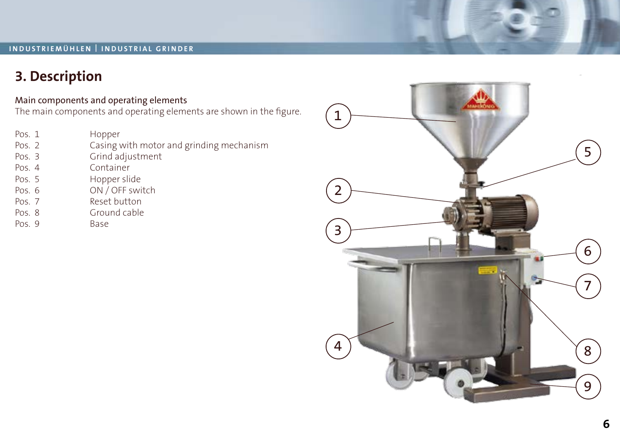### **3. Description**

#### Main components and operating elements

The main components and operating elements are shown in the figure.

- Pos. 1 Hopper<br>Pos. 2 Casing
- Casing with motor and grinding mechanism
- Pos. 3 Grind adjustment<br>Pos. 4 Container
- Container
- Pos. 5 Hopper slide<br>Pos. 6 ON / OFF swi
- Pos. 6 ON / OFF switch<br>Pos. 7 Reset button
- Reset button
- Pos. 8 Ground cable<br>Pos. 9 Base
- 

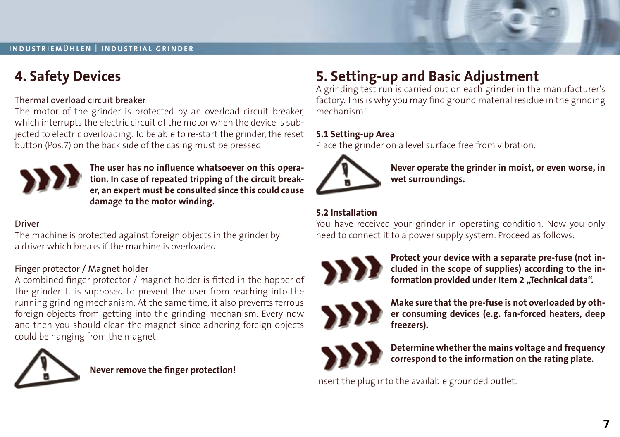

### **4. Safety Devices**

#### Thermal overload circuit breaker

The motor of the grinder is protected by an overload circuit breaker, which interrupts the electric circuit of the motor when the device is subjected to electric overloading. To be able to re-start the grinder, the reset button (Pos.7) on the back side of the casing must be pressed.



**The user has no influence whatsoever on this operation. In case of repeated tripping of the circuit breaker, an expert must be consulted since this could cause damage to the motor winding.**

#### Driver

The machine is protected against foreign objects in the grinder by a driver which breaks if the machine is overloaded.

#### Finger protector / Magnet holder

A combined finger protector / magnet holder is fitted in the hopper of the grinder. It is supposed to prevent the user from reaching into the running grinding mechanism. At the same time, it also prevents ferrous foreign objects from getting into the grinding mechanism. Every now and then you should clean the magnet since adhering foreign objects could be hanging from the magnet.



**Never remove the finger protection!**

### **5. Setting-up and Basic Adjustment**

A grinding test run is carried out on each grinder in the manufacturer's factory. This is why you may find ground material residue in the grinding mechanism!

#### **5.1 Setting-up Area**

Place the grinder on a level surface free from vibration.



**Never operate the grinder in moist, or even worse, in wet surroundings.**

### **5.2 Installation**

You have received your grinder in operating condition. Now you only need to connect it to a power supply system. Proceed as follows:



**Protect your device with a separate pre-fuse (not included in the scope of supplies) according to the in**formation provided under Item 2 "Technical data".



**Make sure that the pre-fuse is not overloaded by other consuming devices (e.g. fan-forced heaters, deep freezers).**



**Determine whether the mains voltage and frequency correspond to the information on the rating plate.**

Insert the plug into the available grounded outlet.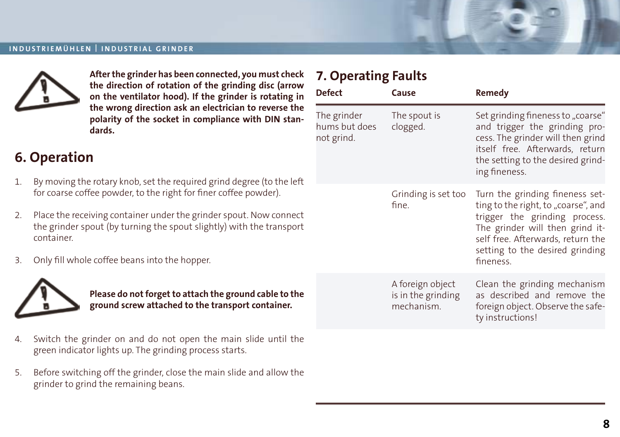

**After the grinder has been connected, you must check the direction of rotation of the grinding disc (arrow on the ventilator hood). If the grinder is rotating in the wrong direction ask an electrician to reverse the polarity of the socket in compliance with DIN standards.**

### **6. Operation**

- 1. By moving the rotary knob, set the required grind degree (to the left for coarse coffee powder, to the right for finer coffee powder).
- 2. Place the receiving container under the grinder spout. Now connect the grinder spout (by turning the spout slightly) with the transport container.
- 3. Only fill whole coffee beans into the hopper.



**Please do not forget to attach the ground cable to the ground screw attached to the transport container.**

- 4. Switch the grinder on and do not open the main slide until the green indicator lights up. The grinding process starts.
- 5. Before switching off the grinder, close the main slide and allow the grinder to grind the remaining beans.

### **7. Operating Faults**

| <b>Defect</b>                              | Cause                                                | Remedy                                                                                                                                                                                                                          |
|--------------------------------------------|------------------------------------------------------|---------------------------------------------------------------------------------------------------------------------------------------------------------------------------------------------------------------------------------|
| The grinder<br>hums but does<br>not grind. | The spout is<br>clogged.                             | Set grinding fineness to "coarse"<br>and trigger the grinding pro-<br>cess. The grinder will then grind<br>itself free. Afterwards, return<br>the setting to the desired grind-<br>ing fineness.                                |
|                                            | Grinding is set too<br>fine.                         | Turn the grinding fineness set-<br>ting to the right, to "coarse", and<br>trigger the grinding process.<br>The grinder will then grind it-<br>self free. Afterwards, return the<br>setting to the desired grinding<br>fineness. |
|                                            | A foreign object<br>is in the grinding<br>mechanism. | Clean the grinding mechanism<br>as described and remove the<br>foreign object. Observe the safe-<br>ty instructions!                                                                                                            |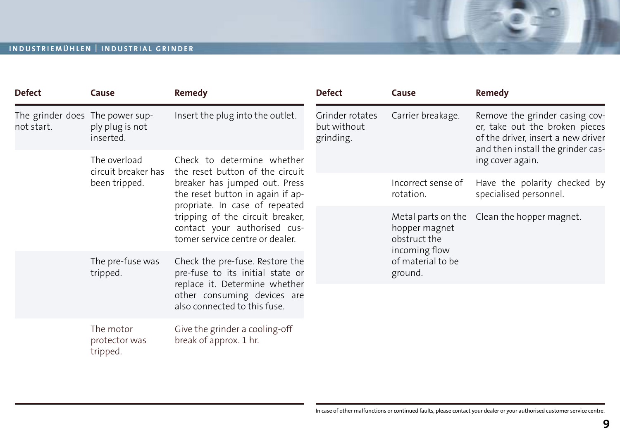| <b>Defect</b>                                                                                        | Cause                                                                                               | Remedy                                                                                              | <b>Defect</b>                               | Cause                                          | Remedy                                                                                                                                      |
|------------------------------------------------------------------------------------------------------|-----------------------------------------------------------------------------------------------------|-----------------------------------------------------------------------------------------------------|---------------------------------------------|------------------------------------------------|---------------------------------------------------------------------------------------------------------------------------------------------|
| The grinder does The power sup-<br>not start.                                                        | ply plug is not<br>inserted.                                                                        | Insert the plug into the outlet.                                                                    | Grinder rotates<br>but without<br>grinding. | Carrier breakage.                              | Remove the grinder casing cov-<br>er, take out the broken pieces<br>of the driver, insert a new driver<br>and then install the grinder cas- |
| The overload<br>Check to determine whether<br>circuit breaker has<br>the reset button of the circuit |                                                                                                     | ing cover again.                                                                                    |                                             |                                                |                                                                                                                                             |
|                                                                                                      | been tripped.                                                                                       | breaker has jumped out. Press<br>the reset button in again if ap-<br>propriate. In case of repeated |                                             | Incorrect sense of<br>rotation.                | Have the polarity checked by<br>specialised personnel.                                                                                      |
|                                                                                                      |                                                                                                     | tripping of the circuit breaker,<br>contact your authorised cus-<br>tomer service centre or dealer. |                                             | hopper magnet<br>obstruct the<br>incoming flow | Metal parts on the Clean the hopper magnet.                                                                                                 |
|                                                                                                      | The pre-fuse was<br>Check the pre-fuse. Restore the<br>pre-fuse to its initial state or<br>tripped. |                                                                                                     | of material to be<br>ground.                |                                                |                                                                                                                                             |
|                                                                                                      |                                                                                                     | replace it. Determine whether<br>other consuming devices are<br>also connected to this fuse.        |                                             |                                                |                                                                                                                                             |
|                                                                                                      | The motor<br>protector was<br>tripped.                                                              | Give the grinder a cooling-off<br>break of approx. 1 hr.                                            |                                             |                                                |                                                                                                                                             |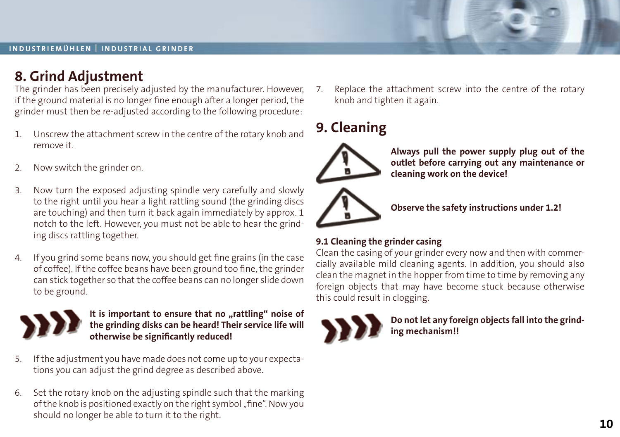### **8. Grind Adjustment**

The grinder has been precisely adjusted by the manufacturer. However, if the ground material is no longer fine enough after a longer period, the grinder must then be re-adjusted according to the following procedure:

- 1. Unscrew the attachment screw in the centre of the rotary knob and remove it.
- 2. Now switch the grinder on.
- 3. Now turn the exposed adjusting spindle very carefully and slowly to the right until you hear a light rattling sound (the grinding discs are touching) and then turn it back again immediately by approx. 1 notch to the left. However, you must not be able to hear the grinding discs rattling together.
- 4. If you grind some beans now, you should get fine grains (in the case of coffee). If the coffee beans have been ground too fine, the grinder can stick together so that the coffee beans can no longer slide down to be ground.



It is important to ensure that no "rattling" noise of **the grinding disks can be heard! Their service life will otherwise be significantly reduced!**

- 5. If the adjustment you have made does not come up to your expectations you can adjust the grind degree as described above.
- 6. Set the rotary knob on the adjusting spindle such that the marking of the knob is positioned exactly on the right symbol "fine". Now you should no longer be able to turn it to the right.

7. Replace the attachment screw into the centre of the rotary knob and tighten it again.

### **9. Cleaning**



**Always pull the power supply plug out of the outlet before carrying out any maintenance or cleaning work on the device!**



**Observe the safety instructions under 1.2!**

#### **9.1 Cleaning the grinder casing**

Clean the casing of your grinder every now and then with commercially available mild cleaning agents. In addition, you should also clean the magnet in the hopper from time to time by removing any foreign objects that may have become stuck because otherwise this could result in clogging.



**Do not let any foreign objects fall into the grinding mechanism!!**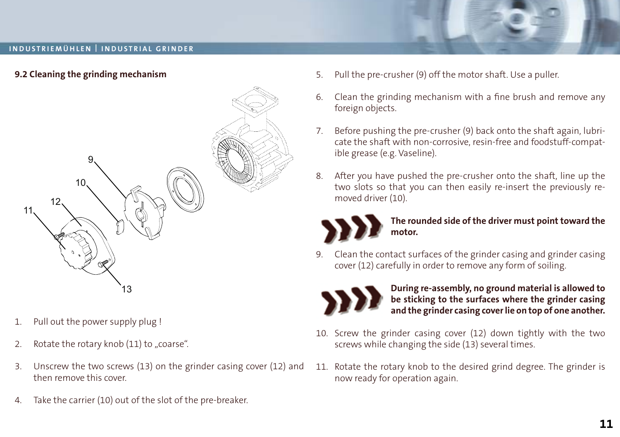



- 1. Pull out the power supply plug !
- 2. Rotate the rotary knob  $(11)$  to "coarse".
- 3. Unscrew the two screws (13) on the grinder casing cover (12) and then remove this cover.
- 4. Take the carrier (10) out of the slot of the pre-breaker.
- 5. Pull the pre-crusher (9) off the motor shaft. Use a puller.
- 6. Clean the grinding mechanism with a fine brush and remove any foreign objects.
- 7. Before pushing the pre-crusher (9) back onto the shaft again, lubricate the shaft with non-corrosive, resin-free and foodstuff-compatible grease (e.g. Vaseline).
- 8. After you have pushed the pre-crusher onto the shaft, line up the two slots so that you can then easily re-insert the previously removed driver (10).



#### **The rounded side of the driver must point toward the motor.**

9. Clean the contact surfaces of the grinder casing and grinder casing cover (12) carefully in order to remove any form of soiling.



#### **During re-assembly, no ground material is allowed to be sticking to the surfaces where the grinder casing and the grinder casing cover lie on top of one another.**

- 10. Screw the grinder casing cover (12) down tightly with the two screws while changing the side (13) several times.
- 11. Rotate the rotary knob to the desired grind degree. The grinder is now ready for operation again.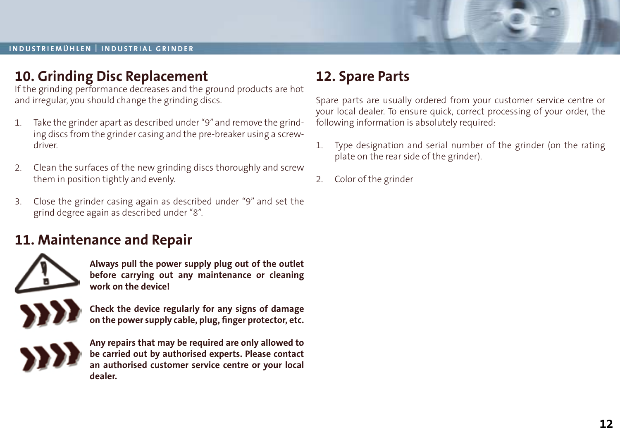

### **10. Grinding Disc Replacement**

If the grinding performance decreases and the ground products are hot and irregular, you should change the grinding discs.

- 1. Take the grinder apart as described under "9" and remove the grinding discs from the grinder casing and the pre-breaker using a screwdriver.
- 2. Clean the surfaces of the new grinding discs thoroughly and screw them in position tightly and evenly.
- 3. Close the grinder casing again as described under "9" and set the grind degree again as described under "8".

### **11. Maintenance and Repair**

![](_page_11_Picture_8.jpeg)

**Always pull the power supply plug out of the outlet before carrying out any maintenance or cleaning work on the device!**

**Check the device regularly for any signs of damage on the power supply cable, plug, finger protector, etc.**

![](_page_11_Picture_11.jpeg)

**Any repairs that may be required are only allowed to be carried out by authorised experts. Please contact an authorised customer service centre or your local dealer.**

### **12. Spare Parts**

Spare parts are usually ordered from your customer service centre or your local dealer. To ensure quick, correct processing of your order, the following information is absolutely required:

- 1. Type designation and serial number of the grinder (on the rating plate on the rear side of the grinder).
- 2. Color of the grinder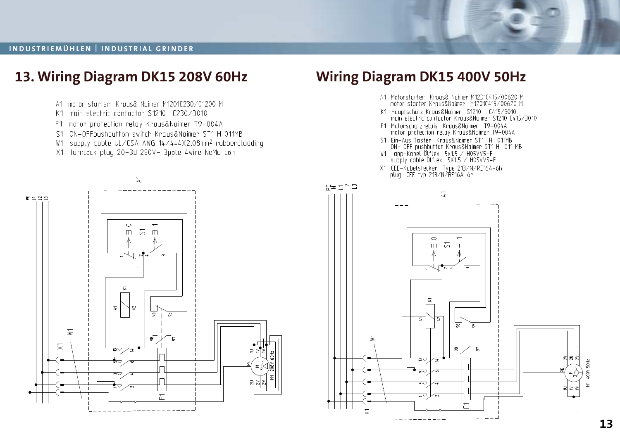![](_page_12_Picture_1.jpeg)

### **13. Wiring Diagram DK15 208V 60Hz Wiring Diagram DK15 400V 50Hz** A1 Motorstarter Kraus& Naimer M12D1C415/00620 M A1 motor starter Kraus& Naimer M1201C230/01200 M motor starter Kraus&Naimer M1201C415/00620 M K1 main electric contactor \$1210 £230/3010 K1 Hauptschütz Kraus&Naimer S1210 C415/3010<br>main electric contactor Kraus&Naimer S1210 C415/3010 F1 motor protection relay Kraus&Naimer T9-004A F1 Motorschutzrelais Kraus&Naimer T9-004A<br>motor protection relay Kraus&Naimer T9-004A S1 ON-OFFpushbutton switch Kraus&Naimer ST1 H 011MB No Ein-Aus Taster Kraus&Namer ST1 H 011MB<br>ST Ein-Aus Taster Kraus&Namer ST1 H 011MB<br>ON- OFF pushbutton Kraus&Namer ST1 H 011 MB<br>W1 Lapp-Kabel Ottlex SX1,5 / H05VY5-F<br>supply cable Ottlex SX1,5 / H05VY5-F W1 supply cable UL/CSA AWG 14/4=4X2,08mm<sup>2</sup> rubbercladding X1 turnlock plug 20-3d 250V- 3pole 4wire NeMa con X1 CEE-Kabelstecker Type 213/N/RE16A-6h<br>plug CEE typ 213/N/RE16A-6h  $\overline{\mathcal{L}}$  $R = 222$  $\sum_{i=1}^{n}$  $-2$  $\circ$  $\overline{\phantom{0}}$  $\Box$  $\overline{a}$  m  $\circ$  $\Box$  $5\pi$ ξ ≅ 둔  $\bar{\times}$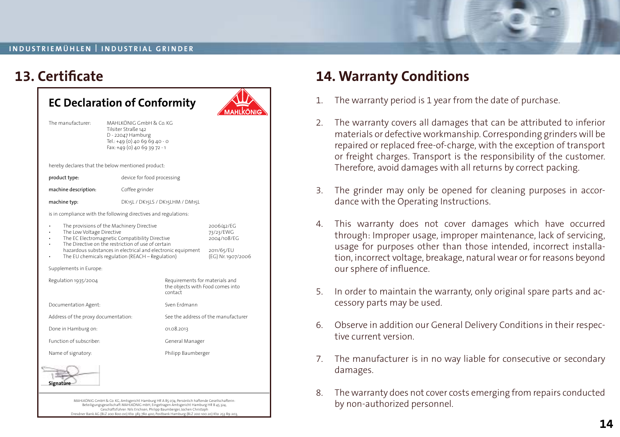| The manufacturer:                                               | MAHLKÖNIG GmbH & Co. KG<br>Tilsiter Straße 142<br>D - 22047 Hamburg<br>Tel.: +49 (0) 40 69 69 40 - 0<br>Fax: +49 (0) 40 69 39 72 - 1                                                                                                                                 |                                  |                                                                            |  |  |
|-----------------------------------------------------------------|----------------------------------------------------------------------------------------------------------------------------------------------------------------------------------------------------------------------------------------------------------------------|----------------------------------|----------------------------------------------------------------------------|--|--|
| hereby declares that the below mentioned product:               |                                                                                                                                                                                                                                                                      |                                  |                                                                            |  |  |
| product type:                                                   |                                                                                                                                                                                                                                                                      | device for food processing       |                                                                            |  |  |
| machine description:                                            |                                                                                                                                                                                                                                                                      | Coffee grinder                   |                                                                            |  |  |
| machine typ:                                                    |                                                                                                                                                                                                                                                                      | DK15L / DK15LS / DK15LHM / DM15L |                                                                            |  |  |
| is in compliance with the following directives and regulations: |                                                                                                                                                                                                                                                                      |                                  |                                                                            |  |  |
| The Low Voltage Directive<br>Supplements in Europe:             | The provisions of the Machinery Directive<br>The EC Electromagnetic Compatibility Directive<br>The Directive on the restriction of use of certain<br>hazardous substances in electrical and electronic equipment<br>The EU chemicals regulation (REACH - Regulation) |                                  | 2006/42/EG<br>73/23/EWG<br>2004/108/EG<br>2011/65/EU<br>(EG) Nr. 1907/2006 |  |  |
|                                                                 |                                                                                                                                                                                                                                                                      |                                  |                                                                            |  |  |
| Regulation 1935/2004                                            |                                                                                                                                                                                                                                                                      | contact                          | Requirements for materials and<br>the objects with Food comes into         |  |  |
| Documentation Agent:                                            |                                                                                                                                                                                                                                                                      | Sven Frdmann                     |                                                                            |  |  |
| Address of the proxy documentation:                             |                                                                                                                                                                                                                                                                      |                                  | See the address of the manufacturer                                        |  |  |
| Done in Hamburg on:                                             |                                                                                                                                                                                                                                                                      | 01.08.2013                       |                                                                            |  |  |
| Function of subscriber:                                         |                                                                                                                                                                                                                                                                      |                                  | General Manager                                                            |  |  |
| Name of signatory:                                              |                                                                                                                                                                                                                                                                      |                                  | Philipp Baumberger                                                         |  |  |
|                                                                 |                                                                                                                                                                                                                                                                      |                                  |                                                                            |  |  |

Dresdner Bank AG (BLZ 200 800 00) Kto. 383 780 400, Postbank Hamburg (BLZ 200 100 20) Kto. 253 89-203, Commerzbank AG (BLZ 200 400 00) Kto. 21 10 294, Ust. Id. Nr.: DE 118 37 22 65

**13. Certificate 14. Warranty Conditions**

- 1. The warranty period is 1 year from the date of purchase.
- 2. The warranty covers all damages that can be attributed to inferior materials or defective workmanship. Corresponding grinders will be repaired or replaced free-of-charge, with the exception of transport or freight charges. Transport is the responsibility of the customer. Therefore, avoid damages with all returns by correct packing.
- 3. The grinder may only be opened for cleaning purposes in accordance with the Operating Instructions.
- 4. This warranty does not cover damages which have occurred through: Improper usage, improper maintenance, lack of servicing, usage for purposes other than those intended, incorrect installation, incorrect voltage, breakage, natural wear or for reasons beyond our sphere of influence.
- 5. In order to maintain the warranty, only original spare parts and accessory parts may be used.
- 6. Observe in addition our General Delivery Conditions in their respective current version.
- 7. The manufacturer is in no way liable for consecutive or secondary damages.
- 8. The warranty does not cover costs emerging from repairs conducted by non-authorized personnel.